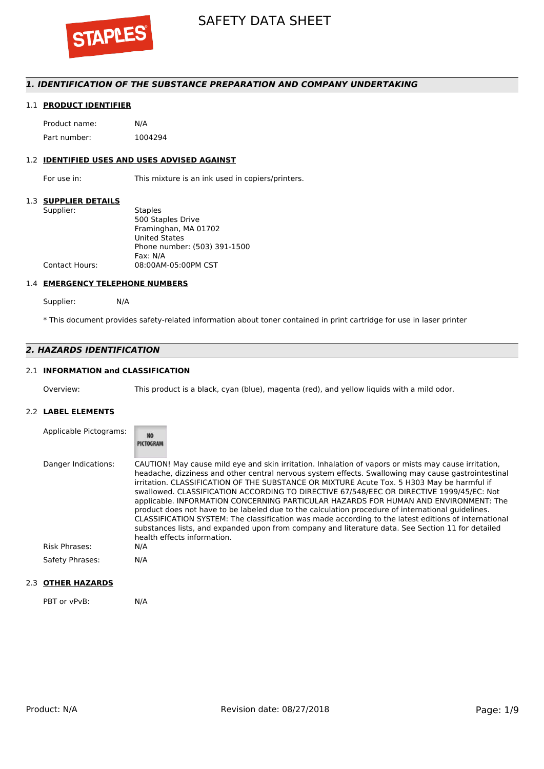

### *1. IDENTIFICATION OF THE SUBSTANCE PREPARATION AND COMPANY UNDERTAKING*

#### 1.1 **PRODUCT IDENTIFIER**

Product name: N/A Part number: 1004294

#### 1.2 **IDENTIFIED USES AND USES ADVISED AGAINST**

For use in: This mixture is an ink used in copiers/printers.

#### 1.3 **SUPPLIER DETAILS**

| Supplier:             | <b>Staples</b>               |
|-----------------------|------------------------------|
|                       | 500 Staples Drive            |
|                       | Framinghan, MA 01702         |
|                       | <b>United States</b>         |
|                       | Phone number: (503) 391-1500 |
|                       | Fax: N/A                     |
| <b>Contact Hours:</b> | 08:00AM-05:00PM CST          |
|                       |                              |

#### 1.4 **EMERGENCY TELEPHONE NUMBERS**

Supplier: N/A

\* This document provides safety-related information about toner contained in print cartridge for use in laser printer

## *2. HAZARDS IDENTIFICATION*

# 2.1 **INFORMATION and CLASSIFICATION**

Overview: This product is a black, cyan (blue), magenta (red), and yellow liquids with a mild odor.

#### 2.2 **LABEL ELEMENTS**

| Applicable Pictograms: | <b>NO</b><br>PICTOGRAM                                                                                                                                                                                                                                                                                                                                                                                                                                                                                                                                                                                                                                                                                                                                                                                                                         |
|------------------------|------------------------------------------------------------------------------------------------------------------------------------------------------------------------------------------------------------------------------------------------------------------------------------------------------------------------------------------------------------------------------------------------------------------------------------------------------------------------------------------------------------------------------------------------------------------------------------------------------------------------------------------------------------------------------------------------------------------------------------------------------------------------------------------------------------------------------------------------|
| Danger Indications:    | CAUTION! May cause mild eye and skin irritation. Inhalation of vapors or mists may cause irritation,<br>headache, dizziness and other central nervous system effects. Swallowing may cause gastrointestinal<br>irritation. CLASSIFICATION OF THE SUBSTANCE OR MIXTURE Acute Tox. 5 H303 May be harmful if<br>swallowed. CLASSIFICATION ACCORDING TO DIRECTIVE 67/548/EEC OR DIRECTIVE 1999/45/EC: Not<br>applicable. INFORMATION CONCERNING PARTICULAR HAZARDS FOR HUMAN AND ENVIRONMENT: The<br>product does not have to be labeled due to the calculation procedure of international quidelines.<br>CLASSIFICATION SYSTEM: The classification was made according to the latest editions of international<br>substances lists, and expanded upon from company and literature data. See Section 11 for detailed<br>health effects information. |
| <b>Risk Phrases:</b>   | N/A                                                                                                                                                                                                                                                                                                                                                                                                                                                                                                                                                                                                                                                                                                                                                                                                                                            |
| Safety Phrases:        | N/A                                                                                                                                                                                                                                                                                                                                                                                                                                                                                                                                                                                                                                                                                                                                                                                                                                            |

# 2.3 **OTHER HAZARDS**

PBT or vPvB: N/A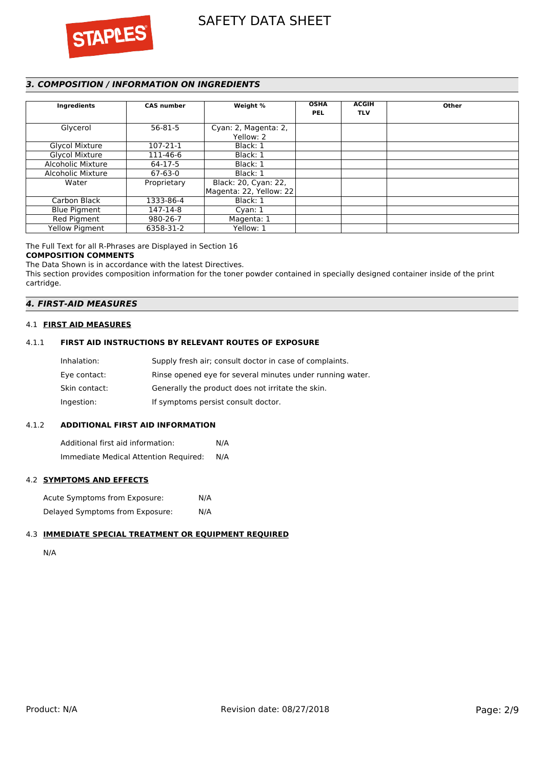



# *3. COMPOSITION / INFORMATION ON INGREDIENTS*

| Ingredients           | <b>CAS number</b> | Weight %                                        | <b>OSHA</b><br><b>PEL</b> | <b>ACGIH</b><br><b>TLV</b> | Other |
|-----------------------|-------------------|-------------------------------------------------|---------------------------|----------------------------|-------|
| Glycerol              | $56 - 81 - 5$     | Cyan: 2, Magenta: 2,<br>Yellow: 2               |                           |                            |       |
| Glycol Mixture        | 107-21-1          | Black: 1                                        |                           |                            |       |
| <b>Glycol Mixture</b> | 111-46-6          | Black: 1                                        |                           |                            |       |
| Alcoholic Mixture     | 64-17-5           | Black: 1                                        |                           |                            |       |
| Alcoholic Mixture     | $67 - 63 - 0$     | Black: 1                                        |                           |                            |       |
| Water                 | Proprietary       | Black: 20, Cyan: 22,<br>Magenta: 22, Yellow: 22 |                           |                            |       |
| Carbon Black          | 1333-86-4         | Black: 1                                        |                           |                            |       |
| <b>Blue Pigment</b>   | 147-14-8          | Cyan: $1$                                       |                           |                            |       |
| Red Pigment           | 980-26-7          | Magenta: 1                                      |                           |                            |       |
| <b>Yellow Pigment</b> | 6358-31-2         | Yellow: 1                                       |                           |                            |       |

#### The Full Text for all R-Phrases are Displayed in Section 16 **COMPOSITION COMMENTS**

The Data Shown is in accordance with the latest Directives.

This section provides composition information for the toner powder contained in specially designed container inside of the print cartridge.

## *4. FIRST-AID MEASURES*

#### 4.1 **FIRST AID MEASURES**

#### 4.1.1 **FIRST AID INSTRUCTIONS BY RELEVANT ROUTES OF EXPOSURE**

| Inhalation:   | Supply fresh air; consult doctor in case of complaints.   |
|---------------|-----------------------------------------------------------|
| Eye contact:  | Rinse opened eye for several minutes under running water. |
| Skin contact: | Generally the product does not irritate the skin.         |
| Ingestion:    | If symptoms persist consult doctor.                       |

#### 4.1.2 **ADDITIONAL FIRST AID INFORMATION**

Additional first aid information: N/A Immediate Medical Attention Required: N/A

# 4.2 **SYMPTOMS AND EFFECTS**

Acute Symptoms from Exposure: N/A Delayed Symptoms from Exposure: N/A

# 4.3 **IMMEDIATE SPECIAL TREATMENT OR EQUIPMENT REQUIRED**

N/A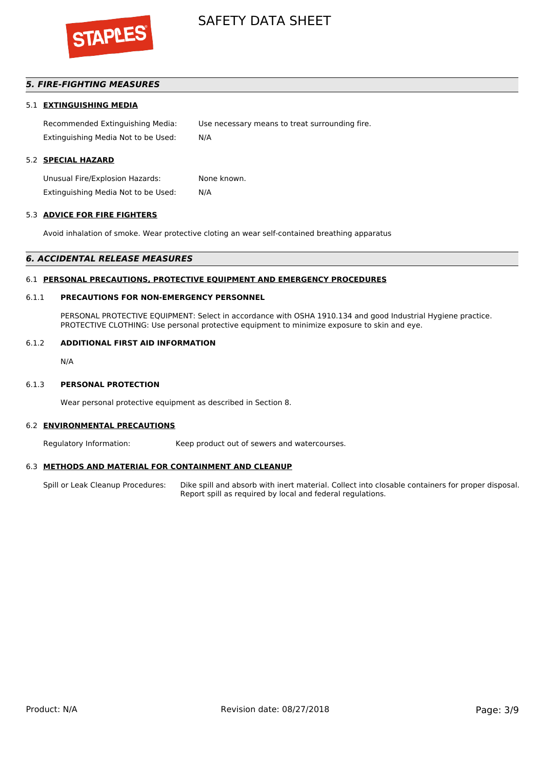

# *5. FIRE-FIGHTING MEASURES*

#### 5.1 **EXTINGUISHING MEDIA**

Recommended Extinguishing Media: Use necessary means to treat surrounding fire. Extinguishing Media Not to be Used: N/A

### 5.2 **SPECIAL HAZARD**

Unusual Fire/Explosion Hazards: None known. Extinguishing Media Not to be Used: N/A

#### 5.3 **ADVICE FOR FIRE FIGHTERS**

Avoid inhalation of smoke. Wear protective cloting an wear self-contained breathing apparatus

#### *6. ACCIDENTAL RELEASE MEASURES*

#### 6.1 **PERSONAL PRECAUTIONS, PROTECTIVE EQUIPMENT AND EMERGENCY PROCEDURES**

#### 6.1.1 **PRECAUTIONS FOR NON-EMERGENCY PERSONNEL**

PERSONAL PROTECTIVE EQUIPMENT: Select in accordance with OSHA 1910.134 and good Industrial Hygiene practice. PROTECTIVE CLOTHING: Use personal protective equipment to minimize exposure to skin and eye.

#### 6.1.2 **ADDITIONAL FIRST AID INFORMATION**

N/A

#### 6.1.3 **PERSONAL PROTECTION**

Wear personal protective equipment as described in Section 8.

#### 6.2 **ENVIRONMENTAL PRECAUTIONS**

Regulatory Information: Keep product out of sewers and watercourses.

#### 6.3 **METHODS AND MATERIAL FOR CONTAINMENT AND CLEANUP**

Spill or Leak Cleanup Procedures: Dike spill and absorb with inert material. Collect into closable containers for proper disposal. Report spill as required by local and federal regulations.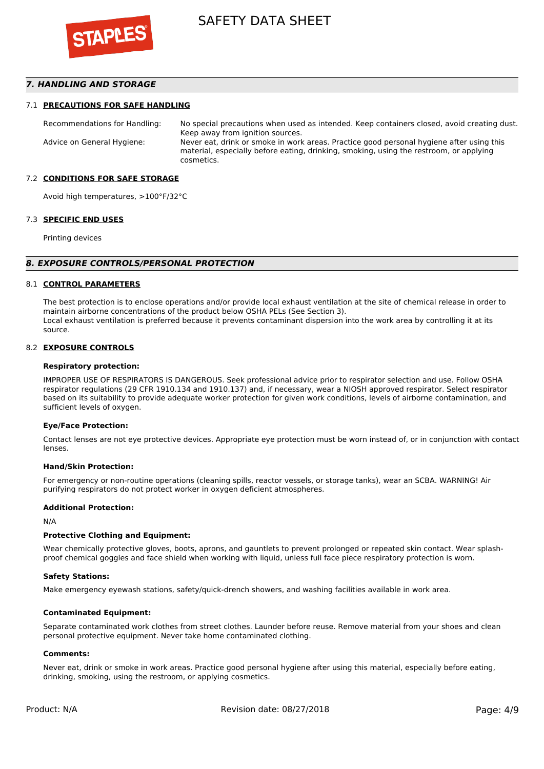

### *7. HANDLING AND STORAGE*

#### 7.1 **PRECAUTIONS FOR SAFE HANDLING**

Recommendations for Handling: No special precautions when used as intended. Keep containers closed, avoid creating dust. Keep away from ignition sources. Advice on General Hygiene: Never eat, drink or smoke in work areas. Practice good personal hygiene after using this material, especially before eating, drinking, smoking, using the restroom, or applying cosmetics.

#### 7.2 **CONDITIONS FOR SAFE STORAGE**

Avoid high temperatures, >100°F/32°C

#### 7.3 **SPECIFIC END USES**

Printing devices

#### *8. EXPOSURE CONTROLS/PERSONAL PROTECTION*

#### 8.1 **CONTROL PARAMETERS**

The best protection is to enclose operations and/or provide local exhaust ventilation at the site of chemical release in order to maintain airborne concentrations of the product below OSHA PELs (See Section 3). Local exhaust ventilation is preferred because it prevents contaminant dispersion into the work area by controlling it at its source.

#### 8.2 **EXPOSURE CONTROLS**

#### **Respiratory protection:**

IMPROPER USE OF RESPIRATORS IS DANGEROUS. Seek professional advice prior to respirator selection and use. Follow OSHA respirator regulations (29 CFR 1910.134 and 1910.137) and, if necessary, wear a NIOSH approved respirator. Select respirator based on its suitability to provide adequate worker protection for given work conditions, levels of airborne contamination, and sufficient levels of oxygen.

#### **Eye/Face Protection:**

Contact lenses are not eye protective devices. Appropriate eye protection must be worn instead of, or in conjunction with contact lenses.

#### **Hand/Skin Protection:**

For emergency or non-routine operations (cleaning spills, reactor vessels, or storage tanks), wear an SCBA. WARNING! Air purifying respirators do not protect worker in oxygen deficient atmospheres.

#### **Additional Protection:**

N/A

#### **Protective Clothing and Equipment:**

Wear chemically protective gloves, boots, aprons, and gauntlets to prevent prolonged or repeated skin contact. Wear splashproof chemical goggles and face shield when working with liquid, unless full face piece respiratory protection is worn.

#### **Safety Stations:**

Make emergency eyewash stations, safety/quick-drench showers, and washing facilities available in work area.

#### **Contaminated Equipment:**

Separate contaminated work clothes from street clothes. Launder before reuse. Remove material from your shoes and clean personal protective equipment. Never take home contaminated clothing.

#### **Comments:**

Never eat, drink or smoke in work areas. Practice good personal hygiene after using this material, especially before eating, drinking, smoking, using the restroom, or applying cosmetics.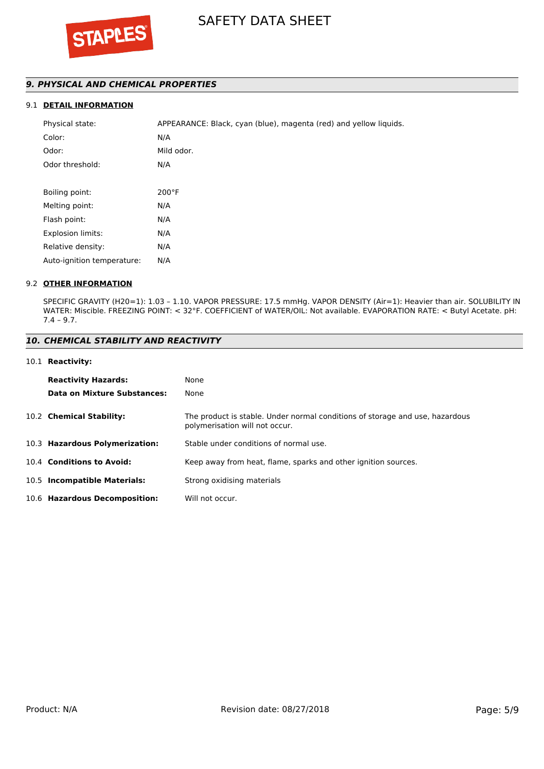# *9. PHYSICAL AND CHEMICAL PROPERTIES*

# 9.1 **DETAIL INFORMATION**

| Physical state:            | APPEARANCE: Black, cyan (blue), magenta (red) and yellow liquids. |
|----------------------------|-------------------------------------------------------------------|
| Color:                     | N/A                                                               |
| Odor:                      | Mild odor.                                                        |
| Odor threshold:            | N/A                                                               |
|                            |                                                                   |
| Boiling point:             | $200^{\circ}$ F                                                   |
| Melting point:             | N/A                                                               |
| Flash point:               | N/A                                                               |
| <b>Explosion limits:</b>   | N/A                                                               |
| Relative density:          | N/A                                                               |
| Auto-ignition temperature: | N/A                                                               |

#### 9.2 **OTHER INFORMATION**

SPECIFIC GRAVITY (H20=1): 1.03 – 1.10. VAPOR PRESSURE: 17.5 mmHg. VAPOR DENSITY (Air=1): Heavier than air. SOLUBILITY IN WATER: Miscible. FREEZING POINT: < 32°F. COEFFICIENT of WATER/OIL: Not available. EVAPORATION RATE: < Butyl Acetate. pH: 7.4 – 9.7.

#### *10. CHEMICAL STABILITY AND REACTIVITY*

#### 10.1 **Reactivity:**

| <b>Reactivity Hazards:</b>     | None                                                                                                           |
|--------------------------------|----------------------------------------------------------------------------------------------------------------|
| Data on Mixture Substances:    | None                                                                                                           |
| 10.2 Chemical Stability:       | The product is stable. Under normal conditions of storage and use, hazardous<br>polymerisation will not occur. |
| 10.3 Hazardous Polymerization: | Stable under conditions of normal use.                                                                         |
| 10.4 Conditions to Avoid:      | Keep away from heat, flame, sparks and other ignition sources.                                                 |
| 10.5 Incompatible Materials:   | Strong oxidising materials                                                                                     |
| 10.6 Hazardous Decomposition:  | Will not occur.                                                                                                |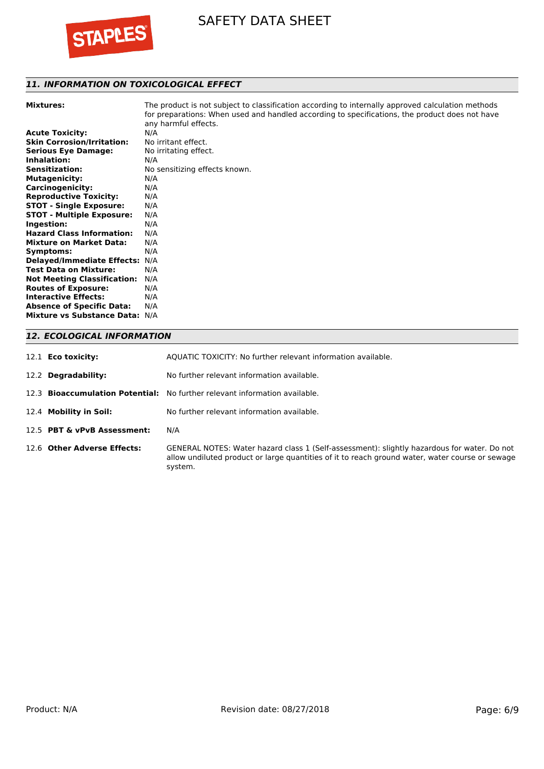

# *11. INFORMATION ON TOXICOLOGICAL EFFECT*

**Mixtures:** The product is not subject to classification according to internally approved calculation methods for preparations: When used and handled according to specifications, the product does not have any harmful effects. **Acute Toxicity:** N/A **Skin Corrosion/Irritation:** No irritant effect.

| SKIN COFFOSION/IFFITATION:         | ivo irritant ellect.          |
|------------------------------------|-------------------------------|
| <b>Serious Eye Damage:</b>         | No irritating effect.         |
| Inhalation:                        | N/A                           |
| <b>Sensitization:</b>              | No sensitizing effects known. |
| <b>Mutagenicity:</b>               | N/A                           |
| <b>Carcinogenicity:</b>            | N/A                           |
| <b>Reproductive Toxicity:</b>      | N/A                           |
| <b>STOT - Single Exposure:</b>     | N/A                           |
| <b>STOT - Multiple Exposure:</b>   | N/A                           |
| Ingestion:                         | N/A                           |
| <b>Hazard Class Information:</b>   | N/A                           |
| <b>Mixture on Market Data:</b>     | N/A                           |
| Symptoms:                          | N/A                           |
| <b>Delayed/Immediate Effects:</b>  | N/A                           |
| <b>Test Data on Mixture:</b>       | N/A                           |
| <b>Not Meeting Classification:</b> | N/A                           |
| <b>Routes of Exposure:</b>         | N/A                           |
| <b>Interactive Effects:</b>        | N/A                           |
| <b>Absence of Specific Data:</b>   | N/A                           |
| <b>Mixture vs Substance Data:</b>  | N/A                           |

# *12. ECOLOGICAL INFORMATION*

| 12.1 <b>Eco toxicity:</b>   | AQUATIC TOXICITY: No further relevant information available.                                                                                                                                              |
|-----------------------------|-----------------------------------------------------------------------------------------------------------------------------------------------------------------------------------------------------------|
| 12.2 Degradability:         | No further relevant information available.                                                                                                                                                                |
|                             | 12.3 <b>Bioaccumulation Potential:</b> No further relevant information available.                                                                                                                         |
| 12.4 Mobility in Soil:      | No further relevant information available.                                                                                                                                                                |
| 12.5 PBT & vPvB Assessment: | N/A                                                                                                                                                                                                       |
| 12.6 Other Adverse Effects: | GENERAL NOTES: Water hazard class 1 (Self-assessment): slightly hazardous for water. Do not<br>allow undiluted product or large quantities of it to reach ground water, water course or sewage<br>system. |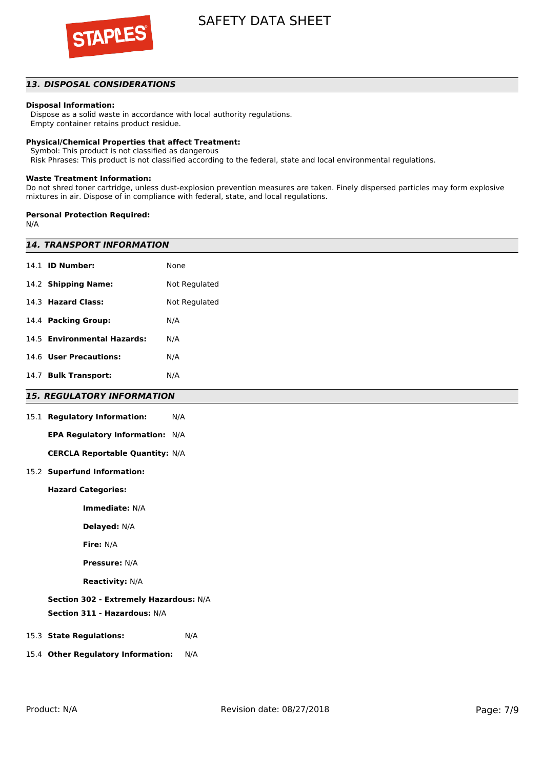

# *13. DISPOSAL CONSIDERATIONS*

#### **Disposal Information:**

 Dispose as a solid waste in accordance with local authority regulations. Empty container retains product residue.

#### **Physical/Chemical Properties that affect Treatment:**

Symbol: This product is not classified as dangerous

Risk Phrases: This product is not classified according to the federal, state and local environmental regulations.

#### **Waste Treatment Information:**

Do not shred toner cartridge, unless dust-explosion prevention measures are taken. Finely dispersed particles may form explosive mixtures in air. Dispose of in compliance with federal, state, and local regulations.

#### **Personal Protection Required:**

N/A

| <b>14. TRANSPORT INFORMATION</b>       |               |  |  |
|----------------------------------------|---------------|--|--|
| 14.1 <b>ID Number:</b>                 | None          |  |  |
| 14.2 Shipping Name:                    | Not Regulated |  |  |
| 14.3 Hazard Class:                     | Not Regulated |  |  |
| 14.4 Packing Group:                    | N/A           |  |  |
| 14.5 Environmental Hazards:            | N/A           |  |  |
| 14.6 User Precautions:                 | N/A           |  |  |
| 14.7 Bulk Transport:                   | N/A           |  |  |
| <b>15. REGULATORY INFORMATION</b>      |               |  |  |
| 15.1 Regulatory Information:           | N/A           |  |  |
| EPA Regulatory Information: N/A        |               |  |  |
| <b>CERCLA Reportable Quantity: N/A</b> |               |  |  |
| 15.2 Superfund Information:            |               |  |  |
| <b>Hazard Categories:</b>              |               |  |  |
| Immediate: N/A                         |               |  |  |
| Delayed: N/A                           |               |  |  |
| Fire: N/A                              |               |  |  |
| <b>Pressure: N/A</b>                   |               |  |  |
| <b>Reactivity: N/A</b>                 |               |  |  |
| Section 302 - Extremely Hazardous: N/A |               |  |  |
| Section 311 - Hazardous: N/A           |               |  |  |
| 15.3 State Regulations:                | N/A           |  |  |
| 15.4 Other Regulatory Information:     | N/A           |  |  |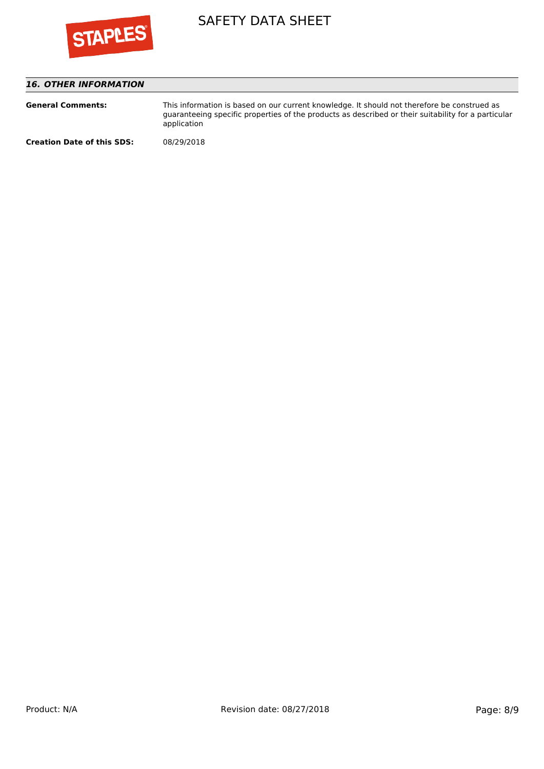

# *16. OTHER INFORMATION*

| <b>General Comments:</b>          | This information is based on our current knowledge. It should not therefore be construed as<br>quaranteeing specific properties of the products as described or their suitability for a particular<br>application |
|-----------------------------------|-------------------------------------------------------------------------------------------------------------------------------------------------------------------------------------------------------------------|
| <b>Creation Date of this SDS:</b> | 08/29/2018                                                                                                                                                                                                        |